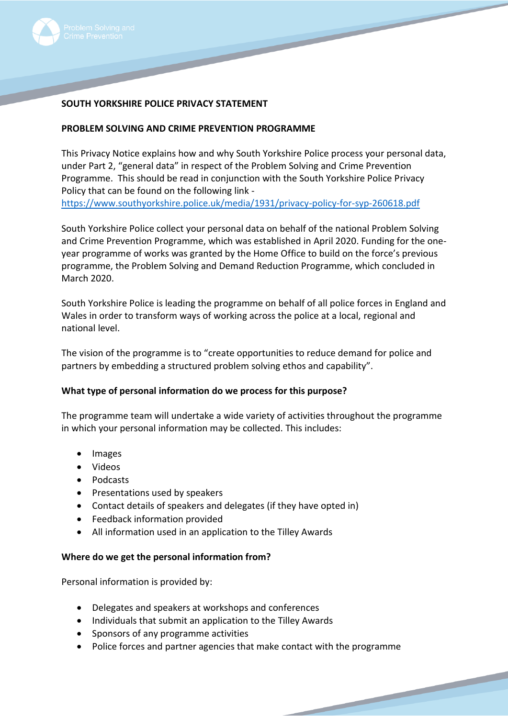

# **SOUTH YORKSHIRE POLICE PRIVACY STATEMENT**

## **PROBLEM SOLVING AND CRIME PREVENTION PROGRAMME**

This Privacy Notice explains how and why South Yorkshire Police process your personal data, under Part 2, "general data" in respect of the Problem Solving and Crime Prevention Programme. This should be read in conjunction with the South Yorkshire Police Privacy Policy that can be found on the following link <https://www.southyorkshire.police.uk/media/1931/privacy-policy-for-syp-260618.pdf>

South Yorkshire Police collect your personal data on behalf of the national Problem Solving and Crime Prevention Programme, which was established in April 2020. Funding for the oneyear programme of works was granted by the Home Office to build on the force's previous programme, the Problem Solving and Demand Reduction Programme, which concluded in March 2020.

South Yorkshire Police is leading the programme on behalf of all police forces in England and Wales in order to transform ways of working across the police at a local, regional and national level.

The vision of the programme is to "create opportunities to reduce demand for police and partners by embedding a structured problem solving ethos and capability".

## **What type of personal information do we process for this purpose?**

The programme team will undertake a wide variety of activities throughout the programme in which your personal information may be collected. This includes:

- Images
- Videos
- Podcasts
- Presentations used by speakers
- Contact details of speakers and delegates (if they have opted in)
- Feedback information provided
- All information used in an application to the Tilley Awards

## **Where do we get the personal information from?**

Personal information is provided by:

- Delegates and speakers at workshops and conferences
- Individuals that submit an application to the Tilley Awards
- Sponsors of any programme activities
- Police forces and partner agencies that make contact with the programme